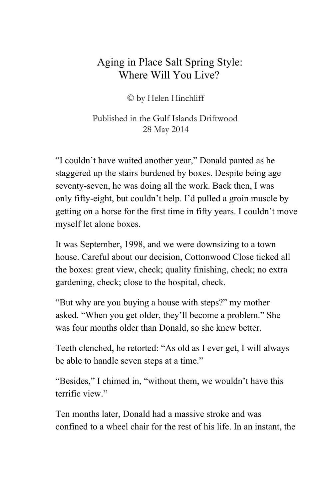## Aging in Place Salt Spring Style: Where Will You Live?

© by Helen Hinchliff

Published in the Gulf Islands Driftwood 28 May 2014

"I couldn't have waited another year," Donald panted as he staggered up the stairs burdened by boxes. Despite being age seventy-seven, he was doing all the work. Back then, I was only fifty-eight, but couldn't help. I'd pulled a groin muscle by getting on a horse for the first time in fifty years. I couldn't move myself let alone boxes.

It was September, 1998, and we were downsizing to a town house. Careful about our decision, Cottonwood Close ticked all the boxes: great view, check; quality finishing, check; no extra gardening, check; close to the hospital, check.

"But why are you buying a house with steps?" my mother asked. "When you get older, they'll become a problem." She was four months older than Donald, so she knew better.

Teeth clenched, he retorted: "As old as I ever get, I will always be able to handle seven steps at a time."

"Besides," I chimed in, "without them, we wouldn't have this terrific view"

Ten months later, Donald had a massive stroke and was confined to a wheel chair for the rest of his life. In an instant, the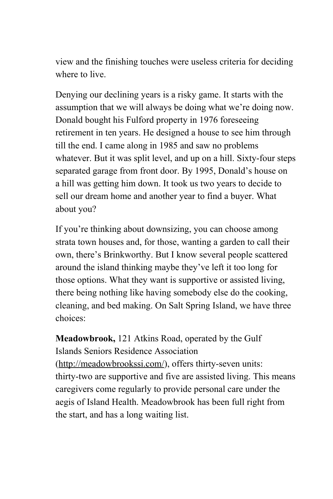view and the finishing touches were useless criteria for deciding where to live.

Denying our declining years is a risky game. It starts with the assumption that we will always be doing what we're doing now. Donald bought his Fulford property in 1976 foreseeing retirement in ten years. He designed a house to see him through till the end. I came along in 1985 and saw no problems whatever. But it was split level, and up on a hill. Sixty-four steps separated garage from front door. By 1995, Donald's house on a hill was getting him down. It took us two years to decide to sell our dream home and another year to find a buyer. What about you?

If you're thinking about downsizing, you can choose among strata town houses and, for those, wanting a garden to call their own, there's Brinkworthy. But I know several people scattered around the island thinking maybe they've left it too long for those options. What they want is supportive or assisted living, there being nothing like having somebody else do the cooking, cleaning, and bed making. On Salt Spring Island, we have three choices:

**Meadowbrook,** 121 Atkins Road, operated by the Gulf Islands Seniors Residence Association ([http://meadowbrookssi.com/\)](http://www.google.com/url?q=http%3A%2F%2Fmeadowbrookssi.com%2F&sa=D&sntz=1&usg=AFQjCNGbOzCC2a6OlYJofilkyPQqAV6MZA), offers thirty-seven units: thirty-two are supportive and five are assisted living. This means caregivers come regularly to provide personal care under the aegis of Island Health. Meadowbrook has been full right from the start, and has a long waiting list.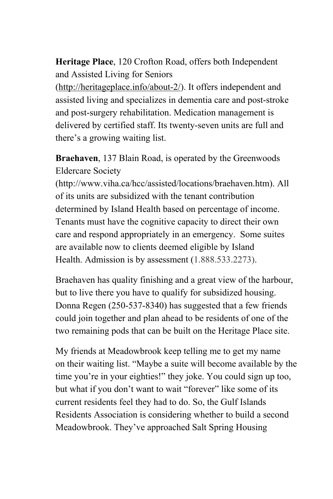**Heritage Place**, 120 Crofton Road, offers both Independent and Assisted Living for Seniors

 $(\text{http://heritageplace.info/about-2/}).$  It offers independent and assisted living and specializes in dementia care and post-stroke and post-surgery rehabilitation. Medication management is delivered by certified staff. Its twenty-seven units are full and there's a growing waiting list.

**Braehaven**, 137 Blain Road, is operated by the Greenwoods Eldercare Society

(http://www.viha.ca/hcc/assisted/locations/braehaven.htm). All of its units are subsidized with the tenant contribution determined by Island Health based on percentage of income. Tenants must have the cognitive capacity to direct their own care and respond appropriately in an emergency. Some suites are available now to clients deemed eligible by Island Health. Admission is by assessment (1.888.533.2273).

Braehaven has quality finishing and a great view of the harbour, but to live there you have to qualify for subsidized housing. Donna Regen (250-537-8340) has suggested that a few friends could join together and plan ahead to be residents of one of the two remaining pods that can be built on the Heritage Place site.

My friends at Meadowbrook keep telling me to get my name on their waiting list. "Maybe a suite will become available by the time you're in your eighties!" they joke. You could sign up too, but what if you don't want to wait "forever" like some of its current residents feel they had to do. So, the Gulf Islands Residents Association is considering whether to build a second Meadowbrook. They've approached Salt Spring Housing